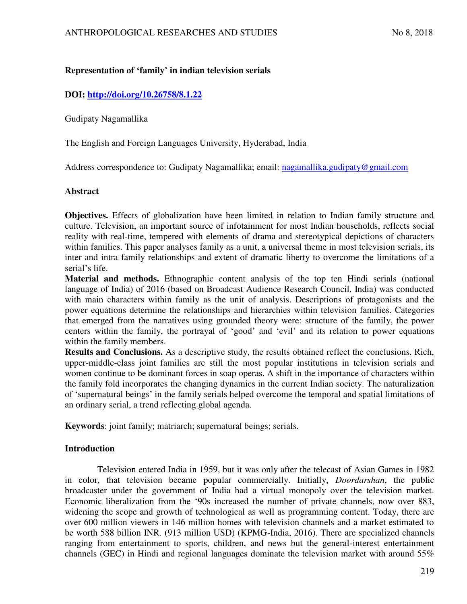# **Representation of 'family' in indian television serials**

# **DOI:<http://doi.org/10.26758/8.1.22>**

Gudipaty Nagamallika

The English and Foreign Languages University, Hyderabad, India

Address correspondence to: Gudipaty Nagamallika; email: [nagamallika.gudipaty@gmail.com](mailto:nagamallika.gudipaty@gmail.com)

### **Abstract**

**Objectives.** Effects of globalization have been limited in relation to Indian family structure and culture. Television, an important source of infotainment for most Indian households, reflects social reality with real-time, tempered with elements of drama and stereotypical depictions of characters within families. This paper analyses family as a unit, a universal theme in most television serials, its inter and intra family relationships and extent of dramatic liberty to overcome the limitations of a serial's life.

**Material and methods.** Ethnographic content analysis of the top ten Hindi serials (national language of India) of 2016 (based on Broadcast Audience Research Council, India) was conducted with main characters within family as the unit of analysis. Descriptions of protagonists and the power equations determine the relationships and hierarchies within television families. Categories that emerged from the narratives using grounded theory were: structure of the family, the power centers within the family, the portrayal of 'good' and 'evil' and its relation to power equations within the family members.

**Results and Conclusions.** As a descriptive study, the results obtained reflect the conclusions. Rich, upper-middle-class joint families are still the most popular institutions in television serials and women continue to be dominant forces in soap operas. A shift in the importance of characters within the family fold incorporates the changing dynamics in the current Indian society. The naturalization of 'supernatural beings' in the family serials helped overcome the temporal and spatial limitations of an ordinary serial, a trend reflecting global agenda.

**Keywords**: joint family; matriarch; supernatural beings; serials.

# **Introduction**

Television entered India in 1959, but it was only after the telecast of Asian Games in 1982 in color, that television became popular commercially. Initially, *Doordarshan*, the public broadcaster under the government of India had a virtual monopoly over the television market. Economic liberalization from the '90s increased the number of private channels, now over 883, widening the scope and growth of technological as well as programming content. Today, there are over 600 million viewers in 146 million homes with television channels and a market estimated to be worth 588 billion INR. (913 million USD) (KPMG-India, 2016). There are specialized channels ranging from entertainment to sports, children, and news but the general-interest entertainment channels (GEC) in Hindi and regional languages dominate the television market with around 55%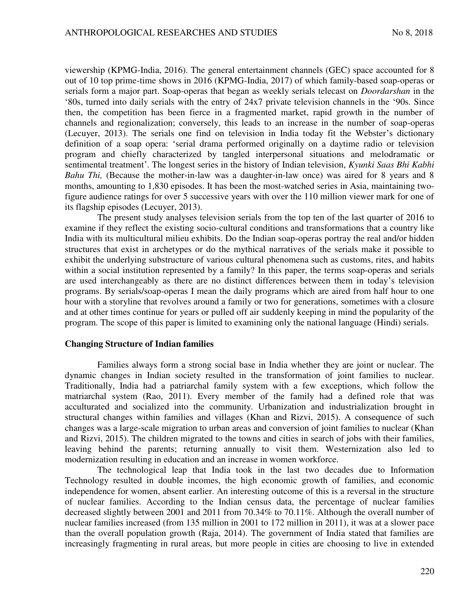viewership (KPMG-India, 2016). The general entertainment channels (GEC) space accounted for 8 out of 10 top prime-time shows in 2016 (KPMG-India, 2017) of which family-based soap-operas or serials form a major part. Soap-operas that began as weekly serials telecast on *Doordarshan* in the '80s, turned into daily serials with the entry of 24x7 private television channels in the '90s. Since then, the competition has been fierce in a fragmented market, rapid growth in the number of channels and regionalization; conversely, this leads to an increase in the number of soap-operas (Lecuyer, 2013). The serials one find on television in India today fit the Webster's dictionary definition of a soap opera: 'serial drama performed originally on a daytime radio or television program and chiefly characterized by tangled interpersonal situations and melodramatic or sentimental treatment'. The longest series in the history of Indian television, *Kyunki Saas Bhi Kabhi Bahu Thi,* (Because the mother-in-law was a daughter-in-law once) was aired for 8 years and 8 months, amounting to 1,830 episodes. It has been the most-watched series in Asia, maintaining twofigure audience ratings for over 5 successive years with over the 110 million viewer mark for one of its flagship episodes (Lecuyer, 2013).

The present study analyses television serials from the top ten of the last quarter of 2016 to examine if they reflect the existing socio-cultural conditions and transformations that a country like India with its multicultural milieu exhibits. Do the Indian soap-operas portray the real and/or hidden structures that exist in archetypes or do the mythical narratives of the serials make it possible to exhibit the underlying substructure of various cultural phenomena such as customs, rites, and habits within a social institution represented by a family? In this paper, the terms soap-operas and serials are used interchangeably as there are no distinct differences between them in today's television programs. By serials/soap-operas I mean the daily programs which are aired from half hour to one hour with a storyline that revolves around a family or two for generations, sometimes with a closure and at other times continue for years or pulled off air suddenly keeping in mind the popularity of the program. The scope of this paper is limited to examining only the national language (Hindi) serials.

#### **Changing Structure of Indian families**

Families always form a strong social base in India whether they are joint or nuclear. The dynamic changes in Indian society resulted in the transformation of joint families to nuclear. Traditionally, India had a patriarchal family system with a few exceptions, which follow the matriarchal system (Rao, 2011). Every member of the family had a defined role that was acculturated and socialized into the community. Urbanization and industrialization brought in structural changes within families and villages (Khan and Rizvi, 2015). A consequence of such changes was a large-scale migration to urban areas and conversion of joint families to nuclear (Khan and Rizvi, 2015). The children migrated to the towns and cities in search of jobs with their families, leaving behind the parents; returning annually to visit them. Westernization also led to modernization resulting in education and an increase in women workforce.

The technological leap that India took in the last two decades due to Information Technology resulted in double incomes, the high economic growth of families, and economic independence for women, absent earlier. An interesting outcome of this is a reversal in the structure of nuclear families. According to the Indian census data, the percentage of nuclear families decreased slightly between 2001 and 2011 from 70.34% to 70.11%. Although the overall number of nuclear families increased (from 135 million in 2001 to 172 million in 2011), it was at a slower pace than the overall population growth (Raja, 2014). The government of India stated that families are increasingly fragmenting in rural areas, but more people in cities are choosing to live in extended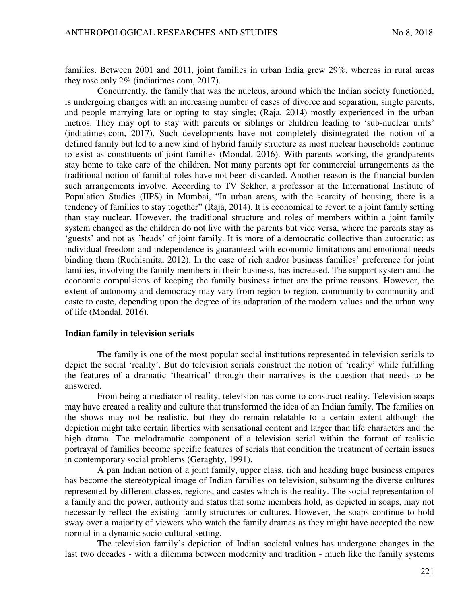families. Between 2001 and 2011, joint families in urban India grew 29%, whereas in rural areas they rose only 2% (indiatimes.com, 2017).

Concurrently, the family that was the nucleus, around which the Indian society functioned, is undergoing changes with an increasing number of cases of divorce and separation, single parents, and people marrying late or opting to stay single; (Raja, 2014) mostly experienced in the urban metros. They may opt to stay with parents or siblings or children leading to 'sub-nuclear units' (indiatimes.com, 2017). Such developments have not completely disintegrated the notion of a defined family but led to a new kind of hybrid family structure as most nuclear households continue to exist as constituents of joint families (Mondal, 2016). With parents working, the grandparents stay home to take care of the children. Not many parents opt for commercial arrangements as the traditional notion of familial roles have not been discarded. Another reason is the financial burden such arrangements involve. According to TV Sekher, a professor at the International Institute of Population Studies (IIPS) in Mumbai, "In urban areas, with the scarcity of housing, there is a tendency of families to stay together" (Raja, 2014). It is economical to revert to a joint family setting than stay nuclear. However, the traditional structure and roles of members within a joint family system changed as the children do not live with the parents but vice versa, where the parents stay as 'guests' and not as 'heads' of joint family. It is more of a democratic collective than autocratic; as individual freedom and independence is guaranteed with economic limitations and emotional needs binding them (Ruchismita, 2012). In the case of rich and/or business families' preference for joint families, involving the family members in their business, has increased. The support system and the economic compulsions of keeping the family business intact are the prime reasons. However, the extent of autonomy and democracy may vary from region to region, community to community and caste to caste, depending upon the degree of its adaptation of the modern values and the urban way of life (Mondal, 2016).

#### **Indian family in television serials**

The family is one of the most popular social institutions represented in television serials to depict the social 'reality'. But do television serials construct the notion of 'reality' while fulfilling the features of a dramatic 'theatrical' through their narratives is the question that needs to be answered.

From being a mediator of reality, television has come to construct reality. Television soaps may have created a reality and culture that transformed the idea of an Indian family. The families on the shows may not be realistic, but they do remain relatable to a certain extent although the depiction might take certain liberties with sensational content and larger than life characters and the high drama. The melodramatic component of a television serial within the format of realistic portrayal of families become specific features of serials that condition the treatment of certain issues in contemporary social problems (Geraghty, 1991).

A pan Indian notion of a joint family, upper class, rich and heading huge business empires has become the stereotypical image of Indian families on television, subsuming the diverse cultures represented by different classes, regions, and castes which is the reality. The social representation of a family and the power, authority and status that some members hold, as depicted in soaps, may not necessarily reflect the existing family structures or cultures. However, the soaps continue to hold sway over a majority of viewers who watch the family dramas as they might have accepted the new normal in a dynamic socio-cultural setting.

The television family's depiction of Indian societal values has undergone changes in the last two decades - with a dilemma between modernity and tradition - much like the family systems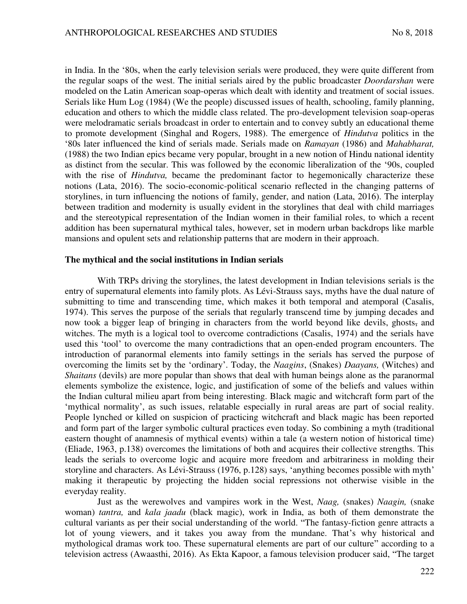in India. In the '80s, when the early television serials were produced, they were quite different from the regular soaps of the west. The initial serials aired by the public broadcaster *Doordarshan* were modeled on the Latin American soap-operas which dealt with identity and treatment of social issues. Serials like Hum Log (1984) (We the people) discussed issues of health, schooling, family planning, education and others to which the middle class related. The pro-development television soap-operas were melodramatic serials broadcast in order to entertain and to convey subtly an educational theme to promote development (Singhal and Rogers, 1988). The emergence of *Hindutva* politics in the '80s later influenced the kind of serials made. Serials made on *Ramayan* (1986) and *Mahabharat,* (1988) the two Indian epics became very popular, brought in a new notion of Hindu national identity as distinct from the secular. This was followed by the economic liberalization of the '90s, coupled with the rise of *Hindutva,* became the predominant factor to hegemonically characterize these notions (Lata, 2016). The socio-economic-political scenario reflected in the changing patterns of storylines, in turn influencing the notions of family, gender, and nation (Lata, 2016). The interplay between tradition and modernity is usually evident in the storylines that deal with child marriages and the stereotypical representation of the Indian women in their familial roles, to which a recent addition has been supernatural mythical tales, however, set in modern urban backdrops like marble mansions and opulent sets and relationship patterns that are modern in their approach.

#### **The mythical and the social institutions in Indian serials**

With TRPs driving the storylines, the latest development in Indian televisions serials is the entry of supernatural elements into family plots. As Lévi-Strauss says, myths have the dual nature of submitting to time and transcending time, which makes it both temporal and atemporal (Casalis, 1974). This serves the purpose of the serials that regularly transcend time by jumping decades and now took a bigger leap of bringing in characters from the world beyond like devils, ghosts, and witches. The myth is a logical tool to overcome contradictions (Casalis, 1974) and the serials have used this 'tool' to overcome the many contradictions that an open-ended program encounters. The introduction of paranormal elements into family settings in the serials has served the purpose of overcoming the limits set by the 'ordinary'. Today, the *Naagins*, (Snakes) *Daayans,* (Witches) and *Shaitans* (devils) are more popular than shows that deal with human beings alone as the paranormal elements symbolize the existence, logic, and justification of some of the beliefs and values within the Indian cultural milieu apart from being interesting. Black magic and witchcraft form part of the 'mythical normality', as such issues, relatable especially in rural areas are part of social reality. People lynched or killed on suspicion of practicing witchcraft and black magic has been reported and form part of the larger symbolic cultural practices even today. So combining a myth (traditional eastern thought of anamnesis of mythical events) within a tale (a western notion of historical time) (Eliade, 1963, p.138) overcomes the limitations of both and acquires their collective strengths. This leads the serials to overcome logic and acquire more freedom and arbitrariness in molding their storyline and characters. As Lévi-Strauss (1976, p.128) says, 'anything becomes possible with myth' making it therapeutic by projecting the hidden social repressions not otherwise visible in the everyday reality.

Just as the werewolves and vampires work in the West, *Naag,* (snakes) *Naagin,* (snake woman) *tantra,* and *kala jaadu* (black magic), work in India, as both of them demonstrate the cultural variants as per their social understanding of the world. "The fantasy-fiction genre attracts a lot of young viewers, and it takes you away from the mundane. That's why historical and mythological dramas work too. These supernatural elements are part of our culture" according to a television actress (Awaasthi, 2016). As Ekta Kapoor, a famous television producer said, "The target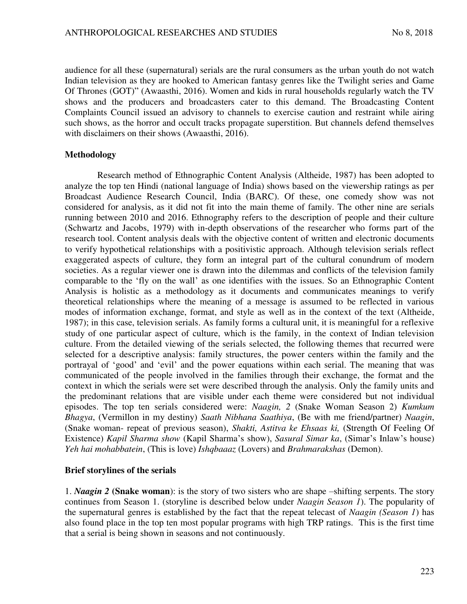audience for all these (supernatural) serials are the rural consumers as the urban youth do not watch Indian television as they are hooked to American fantasy genres like the Twilight series and Game Of Thrones (GOT)" (Awaasthi, 2016). Women and kids in rural households regularly watch the TV shows and the producers and broadcasters cater to this demand. The Broadcasting Content Complaints Council issued an advisory to channels to exercise caution and restraint while airing such shows, as the horror and occult tracks propagate superstition. But channels defend themselves with disclaimers on their shows (Awaasthi, 2016).

### **Methodology**

Research method of Ethnographic Content Analysis (Altheide, 1987) has been adopted to analyze the top ten Hindi (national language of India) shows based on the viewership ratings as per Broadcast Audience Research Council, India (BARC). Of these, one comedy show was not considered for analysis, as it did not fit into the main theme of family. The other nine are serials running between 2010 and 2016. Ethnography refers to the description of people and their culture (Schwartz and Jacobs, 1979) with in-depth observations of the researcher who forms part of the research tool. Content analysis deals with the objective content of written and electronic documents to verify hypothetical relationships with a positivistic approach. Although television serials reflect exaggerated aspects of culture, they form an integral part of the cultural conundrum of modern societies. As a regular viewer one is drawn into the dilemmas and conflicts of the television family comparable to the 'fly on the wall' as one identifies with the issues. So an Ethnographic Content Analysis is holistic as a methodology as it documents and communicates meanings to verify theoretical relationships where the meaning of a message is assumed to be reflected in various modes of information exchange, format, and style as well as in the context of the text (Altheide, 1987); in this case, television serials. As family forms a cultural unit, it is meaningful for a reflexive study of one particular aspect of culture, which is the family, in the context of Indian television culture. From the detailed viewing of the serials selected, the following themes that recurred were selected for a descriptive analysis: family structures, the power centers within the family and the portrayal of 'good' and 'evil' and the power equations within each serial. The meaning that was communicated of the people involved in the families through their exchange, the format and the context in which the serials were set were described through the analysis. Only the family units and the predominant relations that are visible under each theme were considered but not individual episodes. The top ten serials considered were: *Naagin, 2* (Snake Woman Season 2) *Kumkum Bhagya*, (Vermillon in my destiny) *Saath Nibhana Saathiya*, (Be with me friend/partner) *Naagin*, (Snake woman- repeat of previous season), *Shakti, Astitva ke Ehsaas ki,* (Strength Of Feeling Of Existence) *Kapil Sharma show* (Kapil Sharma's show), *Sasural Simar ka*, (Simar's Inlaw's house) *Yeh hai mohabbatein*, (This is love) *Ishqbaaaz* (Lovers) and *Brahmarakshas* (Demon).

### **Brief storylines of the serials**

1. *Naagin 2* **(Snake woman**): is the story of two sisters who are shape –shifting serpents. The story continues from Season 1. (storyline is described below under *Naagin Season 1*). The popularity of the supernatural genres is established by the fact that the repeat telecast of *Naagin (Season 1*) has also found place in the top ten most popular programs with high TRP ratings. This is the first time that a serial is being shown in seasons and not continuously.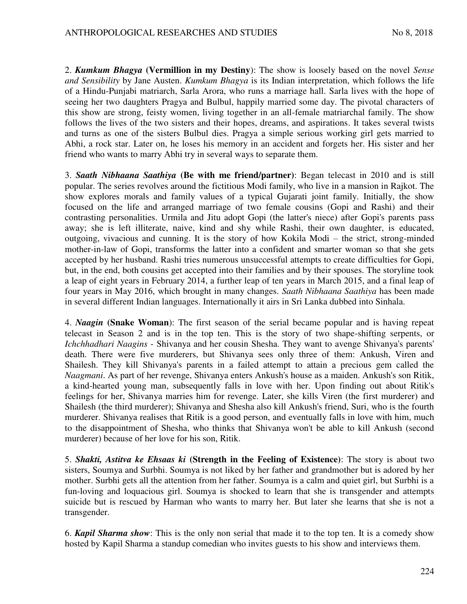2. *Kumkum Bhagya* **(Vermillion in my Destiny**): The show is loosely based on the novel *Sense and Sensibility* by Jane Austen. *Kumkum Bhagya* is its Indian interpretation, which follows the life of a Hindu-Punjabi matriarch, Sarla Arora, who runs a marriage hall. Sarla lives with the hope of seeing her two daughters Pragya and Bulbul, happily married some day. The pivotal characters of this show are strong, feisty women, living together in an all-female matriarchal family. The show follows the lives of the two sisters and their hopes, dreams, and aspirations. It takes several twists and turns as one of the sisters Bulbul dies. Pragya a simple serious working girl gets married to Abhi, a rock star. Later on, he loses his memory in an accident and forgets her. His sister and her friend who wants to marry Abhi try in several ways to separate them.

3. *Saath Nibhaana Saathiya* **(Be with me friend/partner)**: Began telecast in 2010 and is still popular. The series revolves around the fictitious Modi family, who live in a mansion in Rajkot. The show explores morals and family values of a typical Gujarati joint family. Initially, the show focused on the life and arranged marriage of two female cousins (Gopi and Rashi) and their contrasting personalities. Urmila and Jitu adopt Gopi (the latter's niece) after Gopi's parents pass away; she is left illiterate, naive, kind and shy while Rashi, their own daughter, is educated, outgoing, vivacious and cunning. It is the story of how Kokila Modi – the strict, strong-minded mother-in-law of Gopi, transforms the latter into a confident and smarter woman so that she gets accepted by her husband. Rashi tries numerous unsuccessful attempts to create difficulties for Gopi, but, in the end, both cousins get accepted into their families and by their spouses. The storyline took a leap of eight years in February 2014, a further leap of ten years in March 2015, and a final leap of four years in May 2016, which brought in many changes. *Saath Nibhaana Saathiya* has been made in several different Indian languages. Internationally it airs in Sri Lanka dubbed into Sinhala.

4. *Naagin* **(Snake Woman**): The first season of the serial became popular and is having repeat telecast in Season 2 and is in the top ten. This is the story of two shape-shifting serpents, or *Ichchhadhari Naagins* - Shivanya and her cousin Shesha. They want to avenge Shivanya's parents' death. There were five murderers, but Shivanya sees only three of them: Ankush, Viren and Shailesh. They kill Shivanya's parents in a failed attempt to attain a precious gem called the *Naagmani*. As part of her revenge, Shivanya enters Ankush's house as a maiden. Ankush's son Ritik, a kind-hearted young man, subsequently falls in love with her. Upon finding out about Ritik's feelings for her, Shivanya marries him for revenge. Later, she kills Viren (the first murderer) and Shailesh (the third murderer); Shivanya and Shesha also kill Ankush's friend, Suri, who is the fourth murderer. Shivanya realises that Ritik is a good person, and eventually falls in love with him, much to the disappointment of Shesha, who thinks that Shivanya won't be able to kill Ankush (second murderer) because of her love for his son, Ritik.

5. *Shakti, Astitva ke Ehsaas ki* **(Strength in the Feeling of Existence)**: The story is about two sisters, Soumya and Surbhi. Soumya is not liked by her father and grandmother but is adored by her mother. Surbhi gets all the attention from her father. Soumya is a calm and quiet girl, but Surbhi is a fun-loving and loquacious girl. Soumya is shocked to learn that she is transgender and attempts suicide but is rescued by Harman who wants to marry her. But later she learns that she is not a transgender.

6. *Kapil Sharma show*: This is the only non serial that made it to the top ten. It is a comedy show hosted by Kapil Sharma a standup comedian who invites guests to his show and interviews them.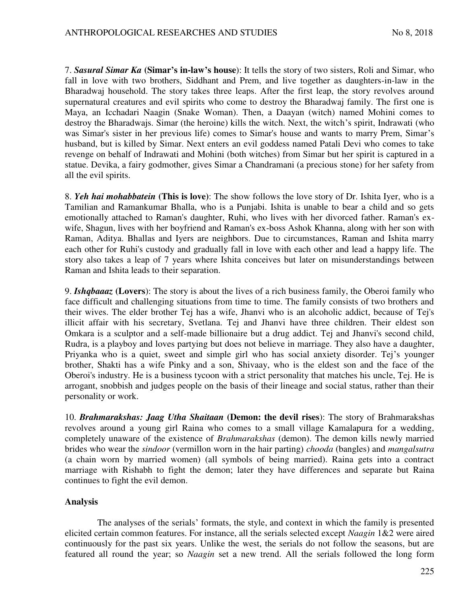7. *Sasural Simar Ka* **(Simar's in-law's house**): It tells the story of two sisters, Roli and Simar, who fall in love with two brothers, Siddhant and Prem, and live together as daughters-in-law in the Bharadwaj household. The story takes three leaps. After the first leap, the story revolves around supernatural creatures and evil spirits who come to destroy the Bharadwaj family. The first one is Maya, an Icchadari Naagin (Snake Woman). Then, a Daayan (witch) named Mohini comes to destroy the Bharadwajs. Simar (the heroine) kills the witch. Next, the witch's spirit, Indrawati (who was Simar's sister in her previous life) comes to Simar's house and wants to marry Prem, Simar's husband, but is killed by Simar. Next enters an evil goddess named Patali Devi who comes to take revenge on behalf of Indrawati and Mohini (both witches) from Simar but her spirit is captured in a statue. Devika, a fairy godmother, gives Simar a Chandramani (a precious stone) for her safety from all the evil spirits.

8. *Yeh hai mohabbatein* **(This is love)**: The show follows the love story of Dr. Ishita Iyer, who is a Tamilian and Ramankumar Bhalla, who is a Punjabi. Ishita is unable to bear a child and so gets emotionally attached to Raman's daughter, Ruhi, who lives with her divorced father. Raman's exwife, Shagun, lives with her boyfriend and Raman's ex-boss Ashok Khanna, along with her son with Raman, Aditya. Bhallas and Iyers are neighbors. Due to circumstances, Raman and Ishita marry each other for Ruhi's custody and gradually fall in love with each other and lead a happy life. The story also takes a leap of 7 years where Ishita conceives but later on misunderstandings between Raman and Ishita leads to their separation.

9. *Ishqbaaaz* **(Lovers**): The story is about the lives of a rich business family, the Oberoi family who face difficult and challenging situations from time to time. The family consists of two brothers and their wives. The elder brother Tej has a wife, Jhanvi who is an alcoholic addict, because of Tej's illicit affair with his secretary, Svetlana. Tej and Jhanvi have three children. Their eldest son Omkara is a sculptor and a self-made billionaire but a drug addict. Tej and Jhanvi's second child, Rudra, is a playboy and loves partying but does not believe in marriage. They also have a daughter, Priyanka who is a quiet, sweet and simple girl who has social anxiety disorder. Tej's younger brother, Shakti has a wife Pinky and a son, Shivaay, who is the eldest son and the face of the Oberoi's industry. He is a business tycoon with a strict personality that matches his uncle, Tej. He is arrogant, snobbish and judges people on the basis of their lineage and social status, rather than their personality or work.

10. *Brahmarakshas: Jaag Utha Shaitaan* **(Demon: the devil rises**): The story of Brahmarakshas revolves around a young girl Raina who comes to a small village Kamalapura for a wedding, completely unaware of the existence of *Brahmarakshas* (demon). The demon kills newly married brides who wear the *sindoor* (vermillon worn in the hair parting) *chooda* (bangles) and *mangalsutra* (a chain worn by married women) (all symbols of being married). Raina gets into a contract marriage with Rishabh to fight the demon; later they have differences and separate but Raina continues to fight the evil demon.

### **Analysis**

The analyses of the serials' formats, the style, and context in which the family is presented elicited certain common features. For instance, all the serials selected except *Naagin* 1&2 were aired continuously for the past six years. Unlike the west, the serials do not follow the seasons, but are featured all round the year; so *Naagin* set a new trend. All the serials followed the long form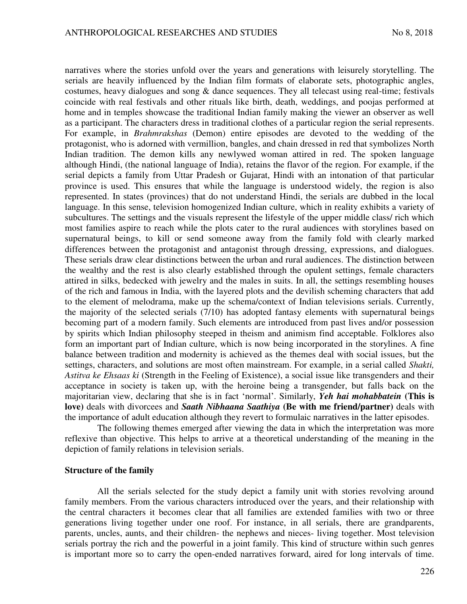narratives where the stories unfold over the years and generations with leisurely storytelling. The serials are heavily influenced by the Indian film formats of elaborate sets, photographic angles, costumes, heavy dialogues and song & dance sequences. They all telecast using real-time; festivals coincide with real festivals and other rituals like birth, death, weddings, and poojas performed at home and in temples showcase the traditional Indian family making the viewer an observer as well as a participant. The characters dress in traditional clothes of a particular region the serial represents. For example, in *Brahmrakshas* (Demon) entire episodes are devoted to the wedding of the protagonist, who is adorned with vermillion, bangles, and chain dressed in red that symbolizes North Indian tradition. The demon kills any newlywed woman attired in red. The spoken language although Hindi, (the national language of India), retains the flavor of the region. For example, if the serial depicts a family from Uttar Pradesh or Gujarat, Hindi with an intonation of that particular province is used. This ensures that while the language is understood widely, the region is also represented. In states (provinces) that do not understand Hindi, the serials are dubbed in the local language. In this sense, television homogenized Indian culture, which in reality exhibits a variety of subcultures. The settings and the visuals represent the lifestyle of the upper middle class/ rich which most families aspire to reach while the plots cater to the rural audiences with storylines based on supernatural beings, to kill or send someone away from the family fold with clearly marked differences between the protagonist and antagonist through dressing, expressions, and dialogues. These serials draw clear distinctions between the urban and rural audiences. The distinction between the wealthy and the rest is also clearly established through the opulent settings, female characters attired in silks, bedecked with jewelry and the males in suits. In all, the settings resembling houses of the rich and famous in India, with the layered plots and the devilish scheming characters that add to the element of melodrama, make up the schema/context of Indian televisions serials. Currently, the majority of the selected serials (7/10) has adopted fantasy elements with supernatural beings becoming part of a modern family. Such elements are introduced from past lives and/or possession by spirits which Indian philosophy steeped in theism and animism find acceptable. Folklores also form an important part of Indian culture, which is now being incorporated in the storylines. A fine balance between tradition and modernity is achieved as the themes deal with social issues, but the settings, characters, and solutions are most often mainstream. For example, in a serial called *Shakti, Astitva ke Ehsaas ki* (Strength in the Feeling of Existence), a social issue like transgenders and their acceptance in society is taken up, with the heroine being a transgender, but falls back on the majoritarian view, declaring that she is in fact 'normal'. Similarly, *Yeh hai mohabbatein* **(This is love)** deals with divorcees and *Saath Nibhaana Saathiya* **(Be with me friend/partner)** deals with the importance of adult education although they revert to formulaic narratives in the latter episodes.

The following themes emerged after viewing the data in which the interpretation was more reflexive than objective. This helps to arrive at a theoretical understanding of the meaning in the depiction of family relations in television serials.

### **Structure of the family**

All the serials selected for the study depict a family unit with stories revolving around family members. From the various characters introduced over the years, and their relationship with the central characters it becomes clear that all families are extended families with two or three generations living together under one roof. For instance, in all serials, there are grandparents, parents, uncles, aunts, and their children- the nephews and nieces- living together. Most television serials portray the rich and the powerful in a joint family. This kind of structure within such genres is important more so to carry the open-ended narratives forward, aired for long intervals of time.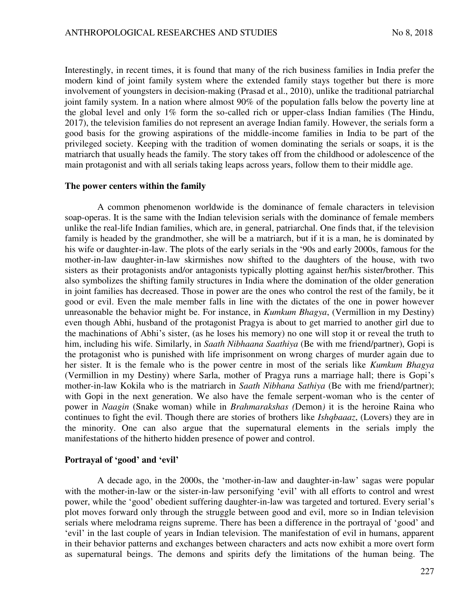Interestingly, in recent times, it is found that many of the rich business families in India prefer the modern kind of joint family system where the extended family stays together but there is more involvement of youngsters in decision-making (Prasad et al., 2010), unlike the traditional patriarchal joint family system. In a nation where almost 90% of the population falls below the poverty line at the global level and only 1% form the so-called rich or upper-class Indian families (The Hindu, 2017), the television families do not represent an average Indian family. However, the serials form a good basis for the growing aspirations of the middle-income families in India to be part of the privileged society. Keeping with the tradition of women dominating the serials or soaps, it is the matriarch that usually heads the family. The story takes off from the childhood or adolescence of the main protagonist and with all serials taking leaps across years, follow them to their middle age.

#### **The power centers within the family**

A common phenomenon worldwide is the dominance of female characters in television soap-operas. It is the same with the Indian television serials with the dominance of female members unlike the real-life Indian families, which are, in general, patriarchal. One finds that, if the television family is headed by the grandmother, she will be a matriarch, but if it is a man, he is dominated by his wife or daughter-in-law. The plots of the early serials in the '90s and early 2000s, famous for the mother-in-law daughter-in-law skirmishes now shifted to the daughters of the house, with two sisters as their protagonists and/or antagonists typically plotting against her/his sister/brother. This also symbolizes the shifting family structures in India where the domination of the older generation in joint families has decreased. Those in power are the ones who control the rest of the family, be it good or evil. Even the male member falls in line with the dictates of the one in power however unreasonable the behavior might be. For instance, in *Kumkum Bhagya*, (Vermillion in my Destiny) even though Abhi, husband of the protagonist Pragya is about to get married to another girl due to the machinations of Abhi's sister, (as he loses his memory) no one will stop it or reveal the truth to him, including his wife. Similarly, in *Saath Nibhaana Saathiya* (Be with me friend/partner), Gopi is the protagonist who is punished with life imprisonment on wrong charges of murder again due to her sister. It is the female who is the power centre in most of the serials like *Kumkum Bhagya* (Vermillion in my Destiny) where Sarla, mother of Pragya runs a marriage hall; there is Gopi's mother-in-law Kokila who is the matriarch in *Saath Nibhana Sathiya* (Be with me friend/partner); with Gopi in the next generation. We also have the female serpent-woman who is the center of power in *Naagin* (Snake woman) while in *Brahmarakshas (*Demon*)* it is the heroine Raina who continues to fight the evil. Though there are stories of brothers like *Ishqbaaaz*, (Lovers) they are in the minority. One can also argue that the supernatural elements in the serials imply the manifestations of the hitherto hidden presence of power and control.

#### **Portrayal of 'good' and 'evil'**

A decade ago, in the 2000s, the 'mother-in-law and daughter-in-law' sagas were popular with the mother-in-law or the sister-in-law personifying 'evil' with all efforts to control and wrest power, while the 'good' obedient suffering daughter-in-law was targeted and tortured. Every serial's plot moves forward only through the struggle between good and evil, more so in Indian television serials where melodrama reigns supreme. There has been a difference in the portrayal of 'good' and 'evil' in the last couple of years in Indian television. The manifestation of evil in humans, apparent in their behavior patterns and exchanges between characters and acts now exhibit a more overt form as supernatural beings. The demons and spirits defy the limitations of the human being. The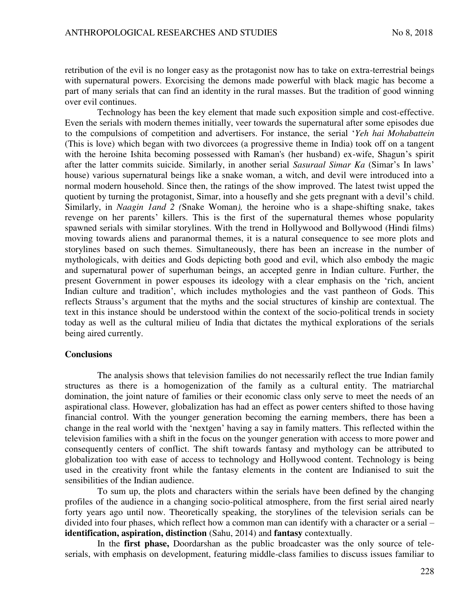retribution of the evil is no longer easy as the protagonist now has to take on extra-terrestrial beings with supernatural powers. Exorcising the demons made powerful with black magic has become a part of many serials that can find an identity in the rural masses. But the tradition of good winning over evil continues.

Technology has been the key element that made such exposition simple and cost-effective. Even the serials with modern themes initially, veer towards the supernatural after some episodes due to the compulsions of competition and advertisers. For instance, the serial '*Yeh hai Mohabattein* (This is love) which began with two divorcees (a progressive theme in India) took off on a tangent with the heroine Ishita becoming possessed with Raman's (her husband) ex-wife, Shagun's spirit after the latter commits suicide. Similarly, in another serial *Sasuraal Simar Ka* (Simar's In laws' house) various supernatural beings like a snake woman, a witch, and devil were introduced into a normal modern household. Since then, the ratings of the show improved. The latest twist upped the quotient by turning the protagonist, Simar, into a housefly and she gets pregnant with a devil's child. Similarly, in *Naagin 1and 2 (*Snake Woman*),* the heroine who is a shape-shifting snake, takes revenge on her parents' killers. This is the first of the supernatural themes whose popularity spawned serials with similar storylines. With the trend in Hollywood and Bollywood (Hindi films) moving towards aliens and paranormal themes, it is a natural consequence to see more plots and storylines based on such themes. Simultaneously, there has been an increase in the number of mythologicals, with deities and Gods depicting both good and evil, which also embody the magic and supernatural power of superhuman beings, an accepted genre in Indian culture. Further, the present Government in power espouses its ideology with a clear emphasis on the 'rich, ancient Indian culture and tradition', which includes mythologies and the vast pantheon of Gods. This reflects Strauss's argument that the myths and the social structures of kinship are contextual. The text in this instance should be understood within the context of the socio-political trends in society today as well as the cultural milieu of India that dictates the mythical explorations of the serials being aired currently.

#### **Conclusions**

The analysis shows that television families do not necessarily reflect the true Indian family structures as there is a homogenization of the family as a cultural entity. The matriarchal domination, the joint nature of families or their economic class only serve to meet the needs of an aspirational class. However, globalization has had an effect as power centers shifted to those having financial control. With the younger generation becoming the earning members, there has been a change in the real world with the 'nextgen' having a say in family matters. This reflected within the television families with a shift in the focus on the younger generation with access to more power and consequently centers of conflict. The shift towards fantasy and mythology can be attributed to globalization too with ease of access to technology and Hollywood content. Technology is being used in the creativity front while the fantasy elements in the content are Indianised to suit the sensibilities of the Indian audience.

To sum up, the plots and characters within the serials have been defined by the changing profiles of the audience in a changing socio-political atmosphere, from the first serial aired nearly forty years ago until now. Theoretically speaking, the storylines of the television serials can be divided into four phases, which reflect how a common man can identify with a character or a serial – **identification, aspiration, distinction** (Sahu, 2014) and **fantasy** contextually.

In the **first phase,** Doordarshan as the public broadcaster was the only source of teleserials, with emphasis on development, featuring middle-class families to discuss issues familiar to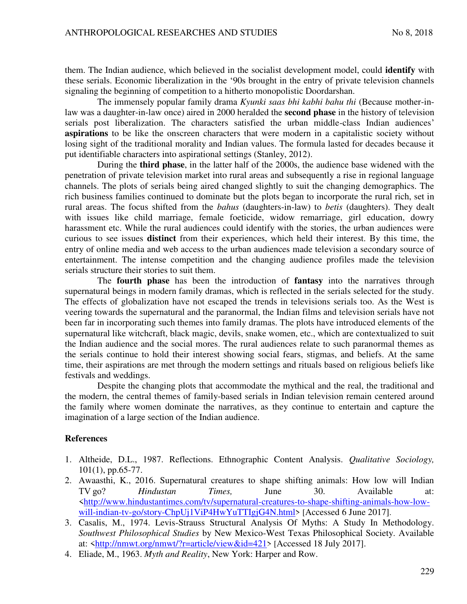them. The Indian audience, which believed in the socialist development model, could **identify** with these serials. Economic liberalization in the '90s brought in the entry of private television channels signaling the beginning of competition to a hitherto monopolistic Doordarshan.

The immensely popular family drama *Kyunki saas bhi kabhi bahu thi* (Because mother-inlaw was a daughter-in-law once) aired in 2000 heralded the **second phase** in the history of television serials post liberalization. The characters satisfied the urban middle-class Indian audiences' **aspirations** to be like the onscreen characters that were modern in a capitalistic society without losing sight of the traditional morality and Indian values. The formula lasted for decades because it put identifiable characters into aspirational settings (Stanley, 2012).

During the **third phase**, in the latter half of the 2000s, the audience base widened with the penetration of private television market into rural areas and subsequently a rise in regional language channels. The plots of serials being aired changed slightly to suit the changing demographics. The rich business families continued to dominate but the plots began to incorporate the rural rich, set in rural areas. The focus shifted from the *bahus* (daughters-in-law) to *betis* (daughters). They dealt with issues like child marriage, female foeticide, widow remarriage, girl education, dowry harassment etc. While the rural audiences could identify with the stories, the urban audiences were curious to see issues **distinct** from their experiences, which held their interest. By this time, the entry of online media and web access to the urban audiences made television a secondary source of entertainment. The intense competition and the changing audience profiles made the television serials structure their stories to suit them.

The **fourth phase** has been the introduction of **fantasy** into the narratives through supernatural beings in modern family dramas, which is reflected in the serials selected for the study. The effects of globalization have not escaped the trends in televisions serials too. As the West is veering towards the supernatural and the paranormal, the Indian films and television serials have not been far in incorporating such themes into family dramas. The plots have introduced elements of the supernatural like witchcraft, black magic, devils, snake women, etc., which are contextualized to suit the Indian audience and the social mores. The rural audiences relate to such paranormal themes as the serials continue to hold their interest showing social fears, stigmas, and beliefs. At the same time, their aspirations are met through the modern settings and rituals based on religious beliefs like festivals and weddings.

Despite the changing plots that accommodate the mythical and the real, the traditional and the modern, the central themes of family-based serials in Indian television remain centered around the family where women dominate the narratives, as they continue to entertain and capture the imagination of a large section of the Indian audience.

# **References**

- 1. Altheide, D.L., 1987. Reflections. Ethnographic Content Analysis. *Qualitative Sociology,* 101(1), pp.65-77.
- 2. Awaasthi, K., 2016. Supernatural creatures to shape shifting animals: How low will Indian TV go? *Hindustan Times,* June 30. Available at: [<http://www.hindustantimes.com/tv/supernatural-creatures-to-shape-shifting-animals-how-low](http://www.hindustantimes.com/tv/supernatural-creatures-to-shape-shifting-animals-how-low-will-indian-tv-go/story-ChpUj1ViP4HwYuTTIgjG4N.html)[will-indian-tv-go/story-ChpUj1ViP4HwYuTTIgjG4N.html](http://www.hindustantimes.com/tv/supernatural-creatures-to-shape-shifting-animals-how-low-will-indian-tv-go/story-ChpUj1ViP4HwYuTTIgjG4N.html)> [Accessed 6 June 2017].
- 3. Casalis, M., 1974. Levis-Strauss Structural Analysis Of Myths: A Study In Methodology. *Southwest Philosophical Studies* by New Mexico-West Texas Philosophical Society. Available at: [<http://nmwt.org/nmwt/?r=article/view&id=421](http://nmwt.org/nmwt/?r=article/view&id=421)> [Accessed 18 July 2017].
- 4. Eliade, M., 1963. *Myth and Reality*, New York: Harper and Row.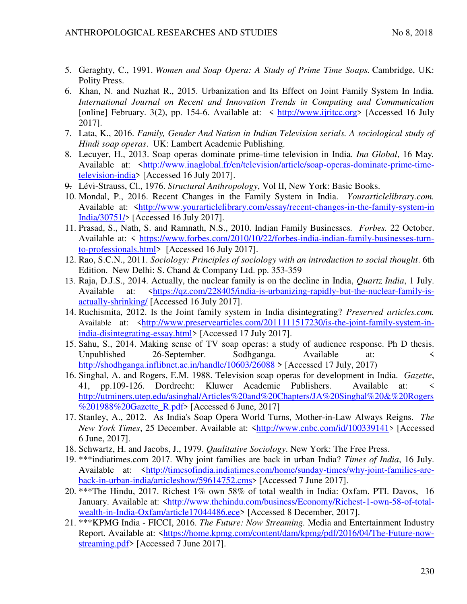- 5. Geraghty, C., 1991. *Women and Soap Opera: A Study of Prime Time Soaps.* Cambridge, UK: Polity Press.
- 6. Khan, N. and Nuzhat R., 2015. Urbanization and Its Effect on Joint Family System In India. *International Journal on Recent and Innovation Trends in Computing and Communication*  [online] February. 3(2), pp. 154-6. Available at:  $\lt$  [http://www.ijritcc.org](http://www.ijritcc.org/)> [Accessed 16 July 2017].
- 7. Lata, K., 2016. *Family, Gender And Nation in Indian Television serials. A sociological study of Hindi soap operas*. UK: Lambert Academic Publishing.
- 8. Lecuyer, H., 2013. Soap operas dominate prime-time television in India. *Ina Global*, 16 May*.* Available at: [<http://www.inaglobal.fr/en/television/article/soap-operas-dominate-prime-time](http://www.inaglobal.fr/en/television/article/soap-operas-dominate-prime-time-television-india)[television-india>](http://www.inaglobal.fr/en/television/article/soap-operas-dominate-prime-time-television-india) [Accessed 16 July 2017].
- 9. Lévi-Strauss, Cl., 1976. *Structural Anthropology*, Vol II, New York: Basic Books.
- 10. Mondal, P., 2016. Recent Changes in the Family System in India. *Yourarticlelibrary.com.* Available at: [<http://www.yourarticlelibrary.com/essay/recent-changes-in-the-family-system-in](http://www.yourarticlelibrary.com/essay/recent-changes-in-the-family-system-in%20India/30751/)  [India/30751/](http://www.yourarticlelibrary.com/essay/recent-changes-in-the-family-system-in%20India/30751/)> [Accessed 16 July 2017].
- 11. Prasad, S., Nath, S. and Ramnath, N.S., 2010. Indian Family Businesses*. Forbes.* 22 October. Available at: < [https://www.forbes.com/2010/10/22/forbes-india-indian-family-businesses-turn](https://www.forbes.com/2010/10/22/forbes-india-indian-family-businesses-turn-to-professionals.html)[to-professionals.html>](https://www.forbes.com/2010/10/22/forbes-india-indian-family-businesses-turn-to-professionals.html) [Accessed 16 July 2017].
- 12. Rao, S.C.N., 2011. *Sociology: Principles of sociology with an introduction to social thought*. 6th Edition. New Delhi: S. Chand & Company Ltd. pp. 353-359
- 13. Raja, D.J.S., 2014. Actually, the nuclear family is on the decline in India, *Quartz India*, 1 July. Available at: [<https://qz.com/228405/india-is-urbanizing-rapidly-but-the-nuclear-family-is](https://qz.com/228405/india-is-urbanizing-rapidly-but-the-nuclear-family-is-actually-shrinking/)[actually-shrinking/](https://qz.com/228405/india-is-urbanizing-rapidly-but-the-nuclear-family-is-actually-shrinking/) [Accessed 16 July 2017].
- 14. Ruchismita, 2012. Is the Joint family system in India disintegrating? *Preserved articles.com.* Available at: <[http://www.preservearticles.com/2011111517230/is-the-joint-family-system-in](http://www.preservearticles.com/2011111517230/is-the-joint-family-system-in-india-disintegrating-essay.html)[india-disintegrating-essay.html>](http://www.preservearticles.com/2011111517230/is-the-joint-family-system-in-india-disintegrating-essay.html) [Accessed 17 July 2017].
- 15. Sahu, S., 2014. Making sense of TV soap operas: a study of audience response. Ph D thesis. Unpublished 26-September. Sodhganga. Available at: < <http://shodhganga.inflibnet.ac.in/handle/10603/26088>> [Accessed 17 July, 2017)
- 16. Singhal, A. and Rogers, E.M. 1988. Television soap operas for development in India. *Gazette*, 41, pp.109-126. Dordrecht: Kluwer Academic Publishers. Available at: < [http://utminers.utep.edu/asinghal/Articles%20and%20Chapters/JA%20Singhal%20&%20Rogers](http://utminers.utep.edu/asinghal/Articles%20and%20Chapters/JA%20Singhal%20&%20Rogers%201988%20Gazette_R.pdf) [%201988%20Gazette\\_R.pdf](http://utminers.utep.edu/asinghal/Articles%20and%20Chapters/JA%20Singhal%20&%20Rogers%201988%20Gazette_R.pdf)> [Accessed 6 June, 2017]
- 17. Stanley, A., 2012. As India's Soap Opera World Turns, Mother-in-Law Always Reigns. *The New York Times*, 25 December. Available at: [<http://www.cnbc.com/id/100339141](http://www.cnbc.com/id/100339141)> [Accessed 6 June, 2017].
- 18. Schwartz, H. and Jacobs, J., 1979. *Qualitative Sociology*. New York: The Free Press.
- 19. \*\*\*indiatimes.com 2017. Why joint families are back in urban India? *Times of India*, 16 July. Available at: [<http://timesofindia.indiatimes.com/home/sunday-times/why-joint-families-are](http://timesofindia.indiatimes.com/home/sunday-times/why-joint-families-are-back-in-urban-india/articleshow/59614752.cms)[back-in-urban-india/articleshow/59614752.cms](http://timesofindia.indiatimes.com/home/sunday-times/why-joint-families-are-back-in-urban-india/articleshow/59614752.cms)> [Accessed 7 June 2017].
- 20. \*\*\*The Hindu, 2017. Richest 1% own 58% of total wealth in India: Oxfam. PTI. Davos, 16 January. Available at: [<http://www.thehindu.com/business/Economy/Richest-1-own-58-of-total](http://www.thehindu.com/business/Economy/Richest-1-own-58-of-total-wealth-in-India-Oxfam/article17044486.ece)[wealth-in-India-Oxfam/article17044486.ece>](http://www.thehindu.com/business/Economy/Richest-1-own-58-of-total-wealth-in-India-Oxfam/article17044486.ece) [Accessed 8 December, 2017].
- 21. \*\*\*KPMG India FICCI, 2016. *The Future: Now Streaming.* Media and Entertainment Industry Report. Available at: [<https://home.kpmg.com/content/dam/kpmg/pdf/2016/04/The-Future-now](https://home.kpmg.com/content/dam/kpmg/pdf/2016/04/The-Future-now-streaming.pdf)[streaming.pdf>](https://home.kpmg.com/content/dam/kpmg/pdf/2016/04/The-Future-now-streaming.pdf) [Accessed 7 June 2017].